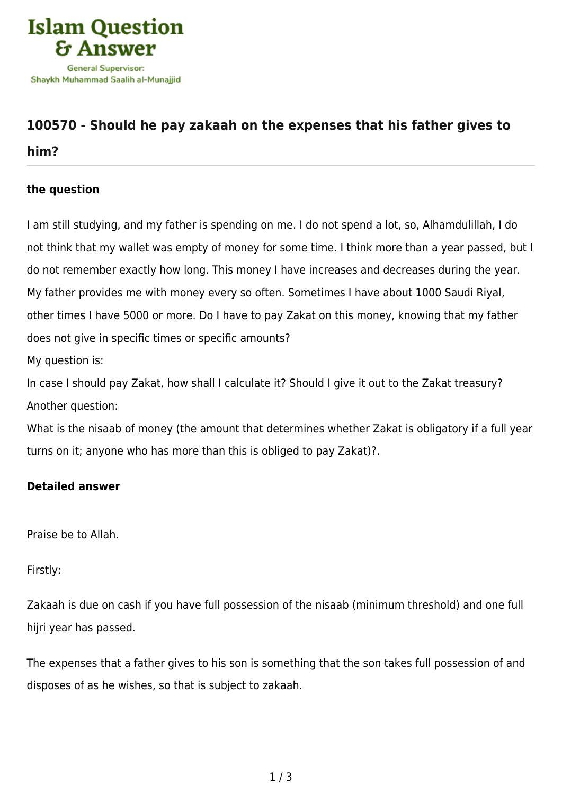

## **[100570 - Should he pay zakaah on the expenses that his father gives to](https://islamqa.com/en/answers/100570/should-he-pay-zakaah-on-the-expenses-that-his-father-gives-to-him)**

## **[him?](https://islamqa.com/en/answers/100570/should-he-pay-zakaah-on-the-expenses-that-his-father-gives-to-him)**

## **the question**

I am still studying, and my father is spending on me. I do not spend a lot, so, Alhamdulillah, I do not think that my wallet was empty of money for some time. I think more than a year passed, but I do not remember exactly how long. This money I have increases and decreases during the year. My father provides me with money every so often. Sometimes I have about 1000 Saudi Riyal, other times I have 5000 or more. Do I have to pay Zakat on this money, knowing that my father does not give in specific times or specific amounts?

My question is:

In case I should pay Zakat, how shall I calculate it? Should I give it out to the Zakat treasury? Another question:

What is the nisaab of money (the amount that determines whether Zakat is obligatory if a full year turns on it; anyone who has more than this is obliged to pay Zakat)?.

## **Detailed answer**

Praise be to Allah.

Firstly:

Zakaah is due on cash if you have full possession of the nisaab (minimum threshold) and one full hijri year has passed.

The expenses that a father gives to his son is something that the son takes full possession of and disposes of as he wishes, so that is subject to zakaah.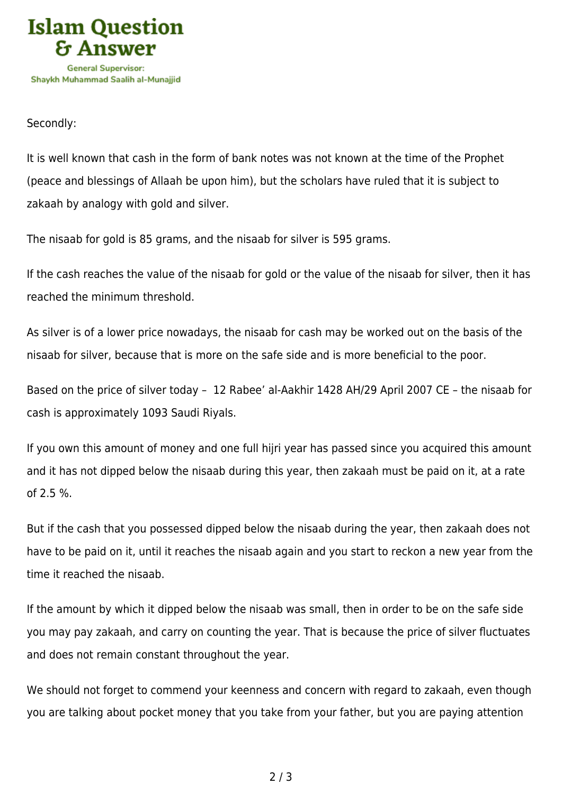

Secondly:

It is well known that cash in the form of bank notes was not known at the time of the Prophet (peace and blessings of Allaah be upon him), but the scholars have ruled that it is subject to zakaah by analogy with gold and silver.

The nisaab for gold is 85 grams, and the nisaab for silver is 595 grams.

If the cash reaches the value of the nisaab for gold or the value of the nisaab for silver, then it has reached the minimum threshold.

As silver is of a lower price nowadays, the nisaab for cash may be worked out on the basis of the nisaab for silver, because that is more on the safe side and is more beneficial to the poor.

Based on the price of silver today – 12 Rabee' al-Aakhir 1428 AH/29 April 2007 CE – the nisaab for cash is approximately 1093 Saudi Riyals.

If you own this amount of money and one full hijri year has passed since you acquired this amount and it has not dipped below the nisaab during this year, then zakaah must be paid on it, at a rate of 2.5 %.

But if the cash that you possessed dipped below the nisaab during the year, then zakaah does not have to be paid on it, until it reaches the nisaab again and you start to reckon a new year from the time it reached the nisaab.

If the amount by which it dipped below the nisaab was small, then in order to be on the safe side you may pay zakaah, and carry on counting the year. That is because the price of silver fluctuates and does not remain constant throughout the year.

We should not forget to commend your keenness and concern with regard to zakaah, even though you are talking about pocket money that you take from your father, but you are paying attention